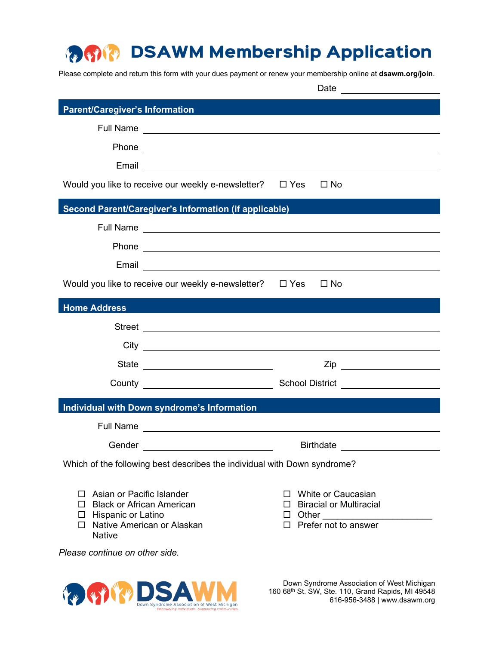## DSAWM Membership Application **Property Company**

Please complete and return this form with your dues payment or renew your membership online at **dsawm.org/join**.

|                                                                          | Date <u>________________</u>                                                                                                                                                                                                   |  |                                                                                                                                                                                                                                |  |
|--------------------------------------------------------------------------|--------------------------------------------------------------------------------------------------------------------------------------------------------------------------------------------------------------------------------|--|--------------------------------------------------------------------------------------------------------------------------------------------------------------------------------------------------------------------------------|--|
| <b>Parent/Caregiver's Information</b>                                    |                                                                                                                                                                                                                                |  |                                                                                                                                                                                                                                |  |
|                                                                          |                                                                                                                                                                                                                                |  |                                                                                                                                                                                                                                |  |
|                                                                          |                                                                                                                                                                                                                                |  |                                                                                                                                                                                                                                |  |
|                                                                          |                                                                                                                                                                                                                                |  |                                                                                                                                                                                                                                |  |
| Would you like to receive our weekly e-newsletter? $\square$ Yes         |                                                                                                                                                                                                                                |  | $\Box$ No                                                                                                                                                                                                                      |  |
|                                                                          |                                                                                                                                                                                                                                |  |                                                                                                                                                                                                                                |  |
| Second Parent/Caregiver's Information (if applicable)                    |                                                                                                                                                                                                                                |  |                                                                                                                                                                                                                                |  |
|                                                                          |                                                                                                                                                                                                                                |  |                                                                                                                                                                                                                                |  |
|                                                                          |                                                                                                                                                                                                                                |  | Phone experience and the contract of the contract of the contract of the contract of the contract of the contract of the contract of the contract of the contract of the contract of the contract of the contract of the contr |  |
|                                                                          | Email experience and the set of the set of the set of the set of the set of the set of the set of the set of the set of the set of the set of the set of the set of the set of the set of the set of the set of the set of the |  |                                                                                                                                                                                                                                |  |
| Would you like to receive our weekly e-newsletter? $\square$ Yes         |                                                                                                                                                                                                                                |  | $\square$ No                                                                                                                                                                                                                   |  |
| <b>Home Address</b>                                                      |                                                                                                                                                                                                                                |  |                                                                                                                                                                                                                                |  |
|                                                                          |                                                                                                                                                                                                                                |  |                                                                                                                                                                                                                                |  |
|                                                                          |                                                                                                                                                                                                                                |  |                                                                                                                                                                                                                                |  |
|                                                                          |                                                                                                                                                                                                                                |  |                                                                                                                                                                                                                                |  |
|                                                                          |                                                                                                                                                                                                                                |  |                                                                                                                                                                                                                                |  |
| <b>Individual with Down syndrome's Information</b>                       |                                                                                                                                                                                                                                |  |                                                                                                                                                                                                                                |  |
|                                                                          |                                                                                                                                                                                                                                |  |                                                                                                                                                                                                                                |  |
| Gender                                                                   |                                                                                                                                                                                                                                |  | <b>Birthdate</b>                                                                                                                                                                                                               |  |
| Which of the following best describes the individual with Down syndrome? |                                                                                                                                                                                                                                |  |                                                                                                                                                                                                                                |  |
|                                                                          |                                                                                                                                                                                                                                |  |                                                                                                                                                                                                                                |  |
| Asian or Pacific Islander<br><b>Black or African American</b>            |                                                                                                                                                                                                                                |  | White or Caucasian<br><b>Biracial or Multiracial</b>                                                                                                                                                                           |  |
| $\Box$ Hispanic or Latino                                                |                                                                                                                                                                                                                                |  |                                                                                                                                                                                                                                |  |
| $\Box$ Native American or Alaskan<br><b>Native</b>                       |                                                                                                                                                                                                                                |  | $\Box$ Prefer not to answer                                                                                                                                                                                                    |  |
| Please continue on other side.                                           |                                                                                                                                                                                                                                |  |                                                                                                                                                                                                                                |  |